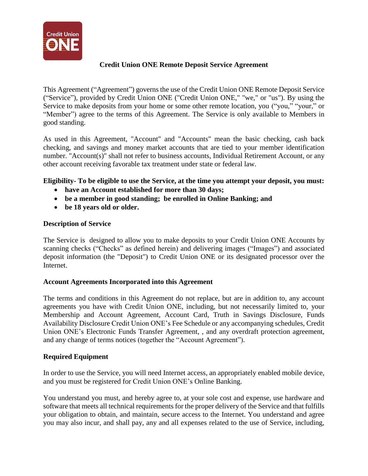

## **Credit Union ONE Remote Deposit Service Agreement**

This Agreement ("Agreement") governs the use of the Credit Union ONE Remote Deposit Service ("Service"), provided by Credit Union ONE ("Credit Union ONE," "we," or "us"). By using the Service to make deposits from your home or some other remote location, you ("you," "your," or "Member") agree to the terms of this Agreement. The Service is only available to Members in good standing.

As used in this Agreement, "Account" and "Accounts" mean the basic checking, cash back checking, and savings and money market accounts that are tied to your member identification number. "Account(s)" shall not refer to business accounts, Individual Retirement Account, or any other account receiving favorable tax treatment under state or federal law.

# **Eligibility- To be eligible to use the Service, at the time you attempt your deposit, you must:**

- **have an Account established for more than 30 days;**
- **be a member in good standing; be enrolled in Online Banking; and**
- **be 18 years old or older.**

### **Description of Service**

The Service is designed to allow you to make deposits to your Credit Union ONE Accounts by scanning checks ("Checks" as defined herein) and delivering images ("Images") and associated deposit information (the "Deposit") to Credit Union ONE or its designated processor over the Internet.

### **Account Agreements Incorporated into this Agreement**

The terms and conditions in this Agreement do not replace, but are in addition to, any account agreements you have with Credit Union ONE, including, but not necessarily limited to, your Membership and Account Agreement, Account Card, Truth in Savings Disclosure, Funds Availability Disclosure Credit Union ONE's Fee Schedule or any accompanying schedules, Credit Union ONE's Electronic Funds Transfer Agreement, , and any overdraft protection agreement, and any change of terms notices (together the "Account Agreement").

## **Required Equipment**

In order to use the Service, you will need Internet access, an appropriately enabled mobile device, and you must be registered for Credit Union ONE's Online Banking.

You understand you must, and hereby agree to, at your sole cost and expense, use hardware and software that meets all technical requirements for the proper delivery of the Service and that fulfills your obligation to obtain, and maintain, secure access to the Internet. You understand and agree you may also incur, and shall pay, any and all expenses related to the use of Service, including,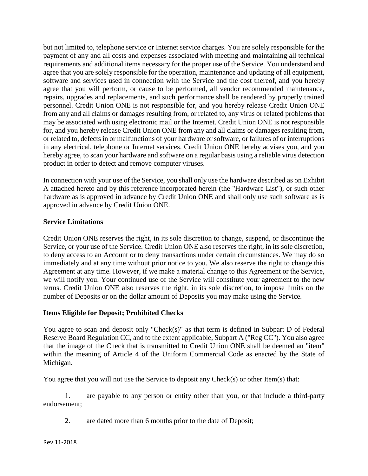but not limited to, telephone service or Internet service charges. You are solely responsible for the payment of any and all costs and expenses associated with meeting and maintaining all technical requirements and additional items necessary for the proper use of the Service. You understand and agree that you are solely responsible for the operation, maintenance and updating of all equipment, software and services used in connection with the Service and the cost thereof, and you hereby agree that you will perform, or cause to be performed, all vendor recommended maintenance, repairs, upgrades and replacements, and such performance shall be rendered by properly trained personnel. Credit Union ONE is not responsible for, and you hereby release Credit Union ONE from any and all claims or damages resulting from, or related to, any virus or related problems that may be associated with using electronic mail or the Internet. Credit Union ONE is not responsible for, and you hereby release Credit Union ONE from any and all claims or damages resulting from, or related to, defects in or malfunctions of your hardware or software, or failures of or interruptions in any electrical, telephone or Internet services. Credit Union ONE hereby advises you, and you hereby agree, to scan your hardware and software on a regular basis using a reliable virus detection product in order to detect and remove computer viruses.

In connection with your use of the Service, you shall only use the hardware described as on Exhibit A attached hereto and by this reference incorporated herein (the "Hardware List"), or such other hardware as is approved in advance by Credit Union ONE and shall only use such software as is approved in advance by Credit Union ONE.

## **Service Limitations**

Credit Union ONE reserves the right, in its sole discretion to change, suspend, or discontinue the Service, or your use of the Service. Credit Union ONE also reserves the right, in its sole discretion, to deny access to an Account or to deny transactions under certain circumstances. We may do so immediately and at any time without prior notice to you. We also reserve the right to change this Agreement at any time. However, if we make a material change to this Agreement or the Service, we will notify you. Your continued use of the Service will constitute your agreement to the new terms. Credit Union ONE also reserves the right, in its sole discretion, to impose limits on the number of Deposits or on the dollar amount of Deposits you may make using the Service.

### **Items Eligible for Deposit; Prohibited Checks**

You agree to scan and deposit only "Check(s)" as that term is defined in Subpart D of Federal Reserve Board Regulation CC, and to the extent applicable, Subpart A ("Reg CC"). You also agree that the image of the Check that is transmitted to Credit Union ONE shall be deemed an "item" within the meaning of Article 4 of the Uniform Commercial Code as enacted by the State of Michigan.

You agree that you will not use the Service to deposit any Check(s) or other Item(s) that:

1. are payable to any person or entity other than you, or that include a third-party endorsement;

2. are dated more than 6 months prior to the date of Deposit;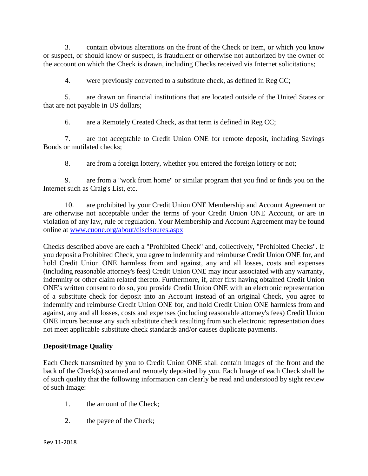3. contain obvious alterations on the front of the Check or Item, or which you know or suspect, or should know or suspect, is fraudulent or otherwise not authorized by the owner of the account on which the Check is drawn, including Checks received via Internet solicitations;

4. were previously converted to a substitute check, as defined in Reg CC;

5. are drawn on financial institutions that are located outside of the United States or that are not payable in US dollars;

6. are a Remotely Created Check, as that term is defined in Reg CC;

7. are not acceptable to Credit Union ONE for remote deposit, including Savings Bonds or mutilated checks;

8. are from a foreign lottery, whether you entered the foreign lottery or not;

9. are from a "work from home" or similar program that you find or finds you on the Internet such as Craig's List, etc.

10. are prohibited by your Credit Union ONE Membership and Account Agreement or are otherwise not acceptable under the terms of your Credit Union ONE Account, or are in violation of any law, rule or regulation. Your Membership and Account Agreement may be found online at [www.cuone.org/about/disclsoures.aspx](http://www.cuone.org/about/disclsoures.aspx)

Checks described above are each a "Prohibited Check" and, collectively, "Prohibited Checks". If you deposit a Prohibited Check, you agree to indemnify and reimburse Credit Union ONE for, and hold Credit Union ONE harmless from and against, any and all losses, costs and expenses (including reasonable attorney's fees) Credit Union ONE may incur associated with any warranty, indemnity or other claim related thereto. Furthermore, if, after first having obtained Credit Union ONE's written consent to do so, you provide Credit Union ONE with an electronic representation of a substitute check for deposit into an Account instead of an original Check, you agree to indemnify and reimburse Credit Union ONE for, and hold Credit Union ONE harmless from and against, any and all losses, costs and expenses (including reasonable attorney's fees) Credit Union ONE incurs because any such substitute check resulting from such electronic representation does not meet applicable substitute check standards and/or causes duplicate payments.

## **Deposit/Image Quality**

Each Check transmitted by you to Credit Union ONE shall contain images of the front and the back of the Check(s) scanned and remotely deposited by you. Each Image of each Check shall be of such quality that the following information can clearly be read and understood by sight review of such Image:

- 1. the amount of the Check;
- 2. the payee of the Check;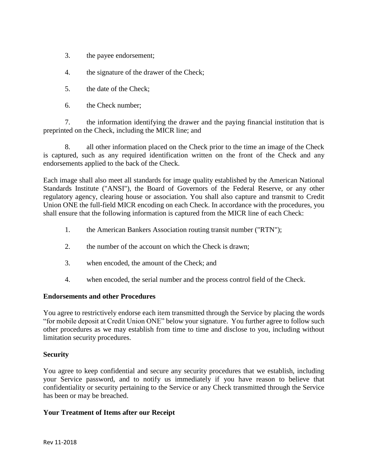- 3. the payee endorsement;
- 4. the signature of the drawer of the Check;
- 5. the date of the Check;
- 6. the Check number;

7. the information identifying the drawer and the paying financial institution that is preprinted on the Check, including the MICR line; and

8. all other information placed on the Check prior to the time an image of the Check is captured, such as any required identification written on the front of the Check and any endorsements applied to the back of the Check.

Each image shall also meet all standards for image quality established by the American National Standards Institute ("ANSI"), the Board of Governors of the Federal Reserve, or any other regulatory agency, clearing house or association. You shall also capture and transmit to Credit Union ONE the full-field MICR encoding on each Check. In accordance with the procedures, you shall ensure that the following information is captured from the MICR line of each Check:

- 1. the American Bankers Association routing transit number ("RTN");
- 2. the number of the account on which the Check is drawn;
- 3. when encoded, the amount of the Check; and
- 4. when encoded, the serial number and the process control field of the Check.

## **Endorsements and other Procedures**

You agree to restrictively endorse each item transmitted through the Service by placing the words "for mobile deposit at Credit Union ONE" below your signature. You further agree to follow such other procedures as we may establish from time to time and disclose to you, including without limitation security procedures.

### **Security**

You agree to keep confidential and secure any security procedures that we establish, including your Service password, and to notify us immediately if you have reason to believe that confidentiality or security pertaining to the Service or any Check transmitted through the Service has been or may be breached.

### **Your Treatment of Items after our Receipt**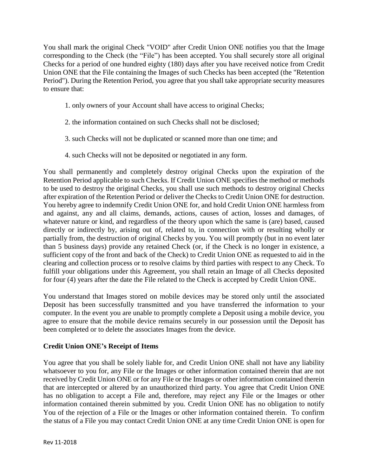You shall mark the original Check "VOID" after Credit Union ONE notifies you that the Image corresponding to the Check (the "File") has been accepted. You shall securely store all original Checks for a period of one hundred eighty (180) days after you have received notice from Credit Union ONE that the File containing the Images of such Checks has been accepted (the "Retention Period"). During the Retention Period, you agree that you shall take appropriate security measures to ensure that:

- 1. only owners of your Account shall have access to original Checks;
- 2. the information contained on such Checks shall not be disclosed;
- 3. such Checks will not be duplicated or scanned more than one time; and
- 4. such Checks will not be deposited or negotiated in any form.

You shall permanently and completely destroy original Checks upon the expiration of the Retention Period applicable to such Checks. If Credit Union ONE specifies the method or methods to be used to destroy the original Checks, you shall use such methods to destroy original Checks after expiration of the Retention Period or deliver the Checks to Credit Union ONE for destruction. You hereby agree to indemnify Credit Union ONE for, and hold Credit Union ONE harmless from and against, any and all claims, demands, actions, causes of action, losses and damages, of whatever nature or kind, and regardless of the theory upon which the same is (are) based, caused directly or indirectly by, arising out of, related to, in connection with or resulting wholly or partially from, the destruction of original Checks by you. You will promptly (but in no event later than 5 business days) provide any retained Check (or, if the Check is no longer in existence, a sufficient copy of the front and back of the Check) to Credit Union ONE as requested to aid in the clearing and collection process or to resolve claims by third parties with respect to any Check. To fulfill your obligations under this Agreement, you shall retain an Image of all Checks deposited for four (4) years after the date the File related to the Check is accepted by Credit Union ONE.

You understand that Images stored on mobile devices may be stored only until the associated Deposit has been successfully transmitted and you have transferred the information to your computer. In the event you are unable to promptly complete a Deposit using a mobile device, you agree to ensure that the mobile device remains securely in our possession until the Deposit has been completed or to delete the associates Images from the device.

## **Credit Union ONE's Receipt of Items**

You agree that you shall be solely liable for, and Credit Union ONE shall not have any liability whatsoever to you for, any File or the Images or other information contained therein that are not received by Credit Union ONE or for any File or the Images or other information contained therein that are intercepted or altered by an unauthorized third party. You agree that Credit Union ONE has no obligation to accept a File and, therefore, may reject any File or the Images or other information contained therein submitted by you. Credit Union ONE has no obligation to notify You of the rejection of a File or the Images or other information contained therein. To confirm the status of a File you may contact Credit Union ONE at any time Credit Union ONE is open for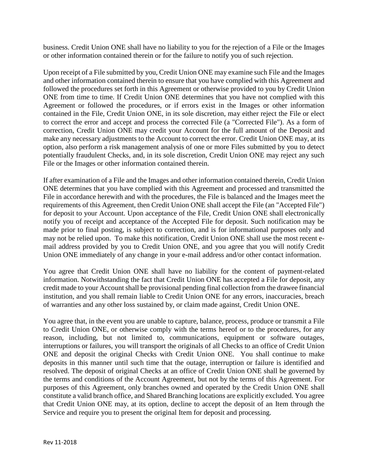business. Credit Union ONE shall have no liability to you for the rejection of a File or the Images or other information contained therein or for the failure to notify you of such rejection.

Upon receipt of a File submitted by you, Credit Union ONE may examine such File and the Images and other information contained therein to ensure that you have complied with this Agreement and followed the procedures set forth in this Agreement or otherwise provided to you by Credit Union ONE from time to time. If Credit Union ONE determines that you have not complied with this Agreement or followed the procedures, or if errors exist in the Images or other information contained in the File, Credit Union ONE, in its sole discretion, may either reject the File or elect to correct the error and accept and process the corrected File (a "Corrected File"). As a form of correction, Credit Union ONE may credit your Account for the full amount of the Deposit and make any necessary adjustments to the Account to correct the error. Credit Union ONE may, at its option, also perform a risk management analysis of one or more Files submitted by you to detect potentially fraudulent Checks, and, in its sole discretion, Credit Union ONE may reject any such File or the Images or other information contained therein.

If after examination of a File and the Images and other information contained therein, Credit Union ONE determines that you have complied with this Agreement and processed and transmitted the File in accordance herewith and with the procedures, the File is balanced and the Images meet the requirements of this Agreement, then Credit Union ONE shall accept the File (an "Accepted File") for deposit to your Account. Upon acceptance of the File, Credit Union ONE shall electronically notify you of receipt and acceptance of the Accepted File for deposit. Such notification may be made prior to final posting, is subject to correction, and is for informational purposes only and may not be relied upon. To make this notification, Credit Union ONE shall use the most recent email address provided by you to Credit Union ONE, and you agree that you will notify Credit Union ONE immediately of any change in your e-mail address and/or other contact information.

You agree that Credit Union ONE shall have no liability for the content of payment-related information. Notwithstanding the fact that Credit Union ONE has accepted a File for deposit, any credit made to your Account shall be provisional pending final collection from the drawee financial institution, and you shall remain liable to Credit Union ONE for any errors, inaccuracies, breach of warranties and any other loss sustained by, or claim made against, Credit Union ONE.

You agree that, in the event you are unable to capture, balance, process, produce or transmit a File to Credit Union ONE, or otherwise comply with the terms hereof or to the procedures, for any reason, including, but not limited to, communications, equipment or software outages, interruptions or failures, you will transport the originals of all Checks to an office of Credit Union ONE and deposit the original Checks with Credit Union ONE. You shall continue to make deposits in this manner until such time that the outage, interruption or failure is identified and resolved. The deposit of original Checks at an office of Credit Union ONE shall be governed by the terms and conditions of the Account Agreement, but not by the terms of this Agreement. For purposes of this Agreement, only branches owned and operated by the Credit Union ONE shall constitute a valid branch office, and Shared Branching locations are explicitly excluded. You agree that Credit Union ONE may, at its option, decline to accept the deposit of an Item through the Service and require you to present the original Item for deposit and processing.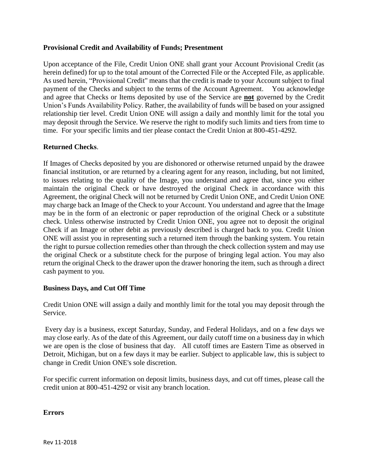### **Provisional Credit and Availability of Funds; Presentment**

Upon acceptance of the File, Credit Union ONE shall grant your Account Provisional Credit (as herein defined) for up to the total amount of the Corrected File or the Accepted File, as applicable. As used herein, "Provisional Credit" means that the credit is made to your Account subject to final payment of the Checks and subject to the terms of the Account Agreement. You acknowledge and agree that Checks or Items deposited by use of the Service are **not** governed by the Credit Union's Funds Availability Policy. Rather, the availability of funds will be based on your assigned relationship tier level. Credit Union ONE will assign a daily and monthly limit for the total you may deposit through the Service. We reserve the right to modify such limits and tiers from time to time. For your specific limits and tier please contact the Credit Union at 800-451-4292.

### **Returned Checks**.

If Images of Checks deposited by you are dishonored or otherwise returned unpaid by the drawee financial institution, or are returned by a clearing agent for any reason, including, but not limited, to issues relating to the quality of the Image, you understand and agree that, since you either maintain the original Check or have destroyed the original Check in accordance with this Agreement, the original Check will not be returned by Credit Union ONE, and Credit Union ONE may charge back an Image of the Check to your Account. You understand and agree that the Image may be in the form of an electronic or paper reproduction of the original Check or a substitute check. Unless otherwise instructed by Credit Union ONE, you agree not to deposit the original Check if an Image or other debit as previously described is charged back to you. Credit Union ONE will assist you in representing such a returned item through the banking system. You retain the right to pursue collection remedies other than through the check collection system and may use the original Check or a substitute check for the purpose of bringing legal action. You may also return the original Check to the drawer upon the drawer honoring the item, such as through a direct cash payment to you.

### **Business Days, and Cut Off Time**

Credit Union ONE will assign a daily and monthly limit for the total you may deposit through the Service.

Every day is a business, except Saturday, Sunday, and Federal Holidays, and on a few days we may close early. As of the date of this Agreement, our daily cutoff time on a business day in which we are open is the close of business that day. All cutoff times are Eastern Time as observed in Detroit, Michigan, but on a few days it may be earlier. Subject to applicable law, this is subject to change in Credit Union ONE's sole discretion.

For specific current information on deposit limits, business days, and cut off times, please call the credit union at 800-451-4292 or visit any branch location.

### **Errors**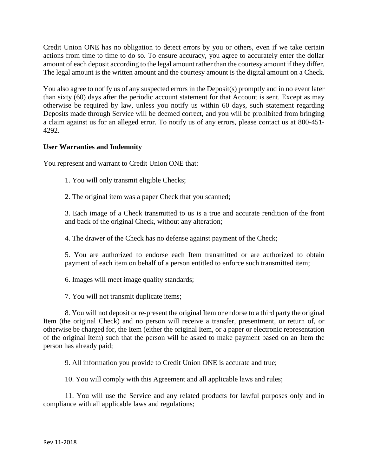Credit Union ONE has no obligation to detect errors by you or others, even if we take certain actions from time to time to do so. To ensure accuracy, you agree to accurately enter the dollar amount of each deposit according to the legal amount rather than the courtesy amount if they differ. The legal amount is the written amount and the courtesy amount is the digital amount on a Check.

You also agree to notify us of any suspected errors in the Deposit(s) promptly and in no event later than sixty (60) days after the periodic account statement for that Account is sent. Except as may otherwise be required by law, unless you notify us within 60 days, such statement regarding Deposits made through Service will be deemed correct, and you will be prohibited from bringing a claim against us for an alleged error. To notify us of any errors, please contact us at 800-451- 4292.

## **User Warranties and Indemnity**

You represent and warrant to Credit Union ONE that:

1. You will only transmit eligible Checks;

2. The original item was a paper Check that you scanned;

3. Each image of a Check transmitted to us is a true and accurate rendition of the front and back of the original Check, without any alteration;

4. The drawer of the Check has no defense against payment of the Check;

5. You are authorized to endorse each Item transmitted or are authorized to obtain payment of each item on behalf of a person entitled to enforce such transmitted item;

6. Images will meet image quality standards;

7. You will not transmit duplicate items;

8. You will not deposit or re-present the original Item or endorse to a third party the original Item (the original Check) and no person will receive a transfer, presentment, or return of, or otherwise be charged for, the Item (either the original Item, or a paper or electronic representation of the original Item) such that the person will be asked to make payment based on an Item the person has already paid;

9. All information you provide to Credit Union ONE is accurate and true;

10. You will comply with this Agreement and all applicable laws and rules;

11. You will use the Service and any related products for lawful purposes only and in compliance with all applicable laws and regulations;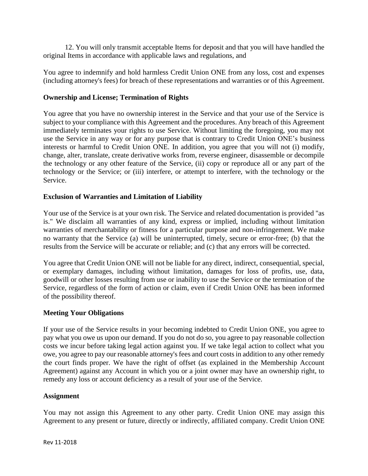12. You will only transmit acceptable Items for deposit and that you will have handled the original Items in accordance with applicable laws and regulations, and

You agree to indemnify and hold harmless Credit Union ONE from any loss, cost and expenses (including attorney's fees) for breach of these representations and warranties or of this Agreement.

### **Ownership and License; Termination of Rights**

You agree that you have no ownership interest in the Service and that your use of the Service is subject to your compliance with this Agreement and the procedures. Any breach of this Agreement immediately terminates your rights to use Service. Without limiting the foregoing, you may not use the Service in any way or for any purpose that is contrary to Credit Union ONE's business interests or harmful to Credit Union ONE. In addition, you agree that you will not (i) modify, change, alter, translate, create derivative works from, reverse engineer, disassemble or decompile the technology or any other feature of the Service, (ii) copy or reproduce all or any part of the technology or the Service; or (iii) interfere, or attempt to interfere, with the technology or the Service.

### **Exclusion of Warranties and Limitation of Liability**

Your use of the Service is at your own risk. The Service and related documentation is provided "as is." We disclaim all warranties of any kind, express or implied, including without limitation warranties of merchantability or fitness for a particular purpose and non-infringement. We make no warranty that the Service (a) will be uninterrupted, timely, secure or error-free; (b) that the results from the Service will be accurate or reliable; and (c) that any errors will be corrected.

You agree that Credit Union ONE will not be liable for any direct, indirect, consequential, special, or exemplary damages, including without limitation, damages for loss of profits, use, data, goodwill or other losses resulting from use or inability to use the Service or the termination of the Service, regardless of the form of action or claim, even if Credit Union ONE has been informed of the possibility thereof.

### **Meeting Your Obligations**

If your use of the Service results in your becoming indebted to Credit Union ONE, you agree to pay what you owe us upon our demand. If you do not do so, you agree to pay reasonable collection costs we incur before taking legal action against you. If we take legal action to collect what you owe, you agree to pay our reasonable attorney's fees and court costs in addition to any other remedy the court finds proper. We have the right of offset (as explained in the Membership Account Agreement) against any Account in which you or a joint owner may have an ownership right, to remedy any loss or account deficiency as a result of your use of the Service.

#### **Assignment**

You may not assign this Agreement to any other party. Credit Union ONE may assign this Agreement to any present or future, directly or indirectly, affiliated company. Credit Union ONE